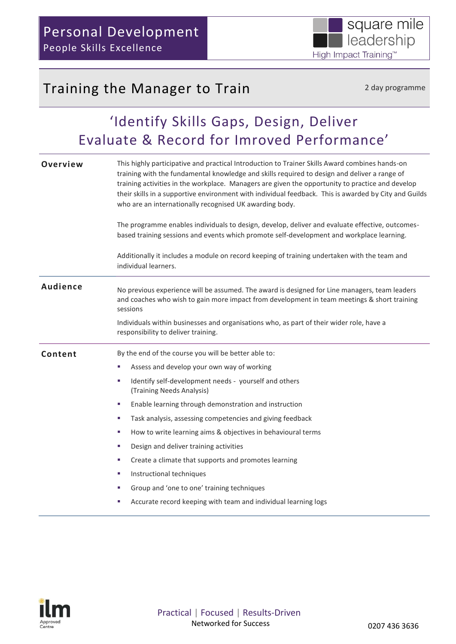## Training the Manager to Train 2 day programme

# 'Identify Skills Gaps, Design, Deliver Evaluate & Record for Imroved Performance'

| Overview        | This highly participative and practical Introduction to Trainer Skills Award combines hands-on<br>training with the fundamental knowledge and skills required to design and deliver a range of<br>training activities in the workplace. Managers are given the opportunity to practice and develop<br>their skills in a supportive environment with individual feedback. This is awarded by City and Guilds<br>who are an internationally recognised UK awarding body. |  |  |
|-----------------|------------------------------------------------------------------------------------------------------------------------------------------------------------------------------------------------------------------------------------------------------------------------------------------------------------------------------------------------------------------------------------------------------------------------------------------------------------------------|--|--|
|                 | The programme enables individuals to design, develop, deliver and evaluate effective, outcomes-<br>based training sessions and events which promote self-development and workplace learning.                                                                                                                                                                                                                                                                           |  |  |
|                 | Additionally it includes a module on record keeping of training undertaken with the team and<br>individual learners.                                                                                                                                                                                                                                                                                                                                                   |  |  |
| <b>Audience</b> | No previous experience will be assumed. The award is designed for Line managers, team leaders<br>and coaches who wish to gain more impact from development in team meetings & short training<br>sessions                                                                                                                                                                                                                                                               |  |  |
|                 | Individuals within businesses and organisations who, as part of their wider role, have a<br>responsibility to deliver training.                                                                                                                                                                                                                                                                                                                                        |  |  |
| Content         | By the end of the course you will be better able to:                                                                                                                                                                                                                                                                                                                                                                                                                   |  |  |
|                 | Assess and develop your own way of working                                                                                                                                                                                                                                                                                                                                                                                                                             |  |  |
|                 | Identify self-development needs - yourself and others<br>u.<br>(Training Needs Analysis)                                                                                                                                                                                                                                                                                                                                                                               |  |  |
|                 | Enable learning through demonstration and instruction<br>×                                                                                                                                                                                                                                                                                                                                                                                                             |  |  |
|                 | Task analysis, assessing competencies and giving feedback<br>a.                                                                                                                                                                                                                                                                                                                                                                                                        |  |  |
|                 | How to write learning aims & objectives in behavioural terms<br>a.                                                                                                                                                                                                                                                                                                                                                                                                     |  |  |
|                 | Design and deliver training activities<br>a.                                                                                                                                                                                                                                                                                                                                                                                                                           |  |  |
|                 | Create a climate that supports and promotes learning<br>u,                                                                                                                                                                                                                                                                                                                                                                                                             |  |  |
|                 | Instructional techniques<br>×.                                                                                                                                                                                                                                                                                                                                                                                                                                         |  |  |
|                 | Group and 'one to one' training techniques<br>ш                                                                                                                                                                                                                                                                                                                                                                                                                        |  |  |
|                 | Accurate record keeping with team and individual learning logs                                                                                                                                                                                                                                                                                                                                                                                                         |  |  |

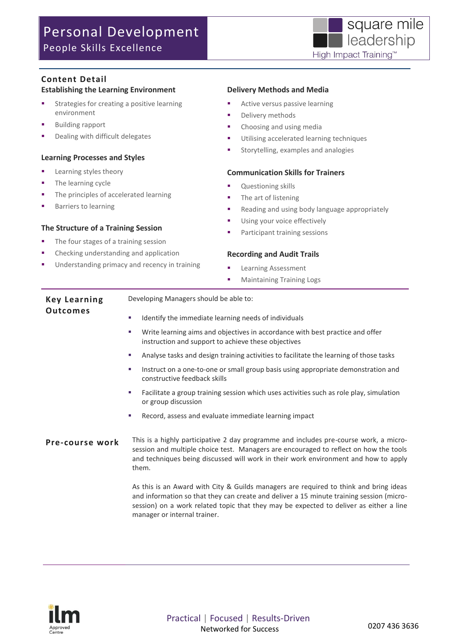## Personal Development People Skills Excellence



### **Content Detail**

#### **Establishing the Learning Environment**

- Strategies for creating a positive learning environment
- Building rapport
- Dealing with difficult delegates

#### **Learning Processes and Styles**

- **Learning styles theory**
- The learning cycle
- The principles of accelerated learning
- Barriers to learning

#### **The Structure of a Training Session**

- The four stages of a training session
- Checking understanding and application
- Understanding primacy and recency in training

#### **Delivery Methods and Media**

- Active versus passive learning
- **Delivery methods**
- Choosing and using media
- **Utilising accelerated learning techniques**
- **Storytelling, examples and analogies**

#### **Communication Skills for Trainers**

- Questioning skills
- The art of listening
- **Reading and using body language appropriately**
- **Using your voice effectively**
- **Participant training sessions**

#### **Recording and Audit Trails**

- **Learning Assessment**
- **Maintaining Training Logs**

| <b>Key Learning</b> | Developing Managers should be able to:               |
|---------------------|------------------------------------------------------|
| <b>Outcomes</b>     | Identify the immediate learning needs of individuals |

- Write learning aims and objectives in accordance with best practice and offer instruction and support to achieve these objectives
- Analyse tasks and design training activities to facilitate the learning of those tasks
- Instruct on a one-to-one or small group basis using appropriate demonstration and constructive feedback skills
- Facilitate a group training session which uses activities such as role play, simulation or group discussion
- Record, assess and evaluate immediate learning impact

#### **Pre-course work** This is a highly participative 2 day programme and includes pre-course work, a microsession and multiple choice test. Managers are encouraged to reflect on how the tools and techniques being discussed will work in their work environment and how to apply them.

As this is an Award with City & Guilds managers are required to think and bring ideas and information so that they can create and deliver a 15 minute training session (microsession) on a work related topic that they may be expected to deliver as either a line manager or internal trainer.